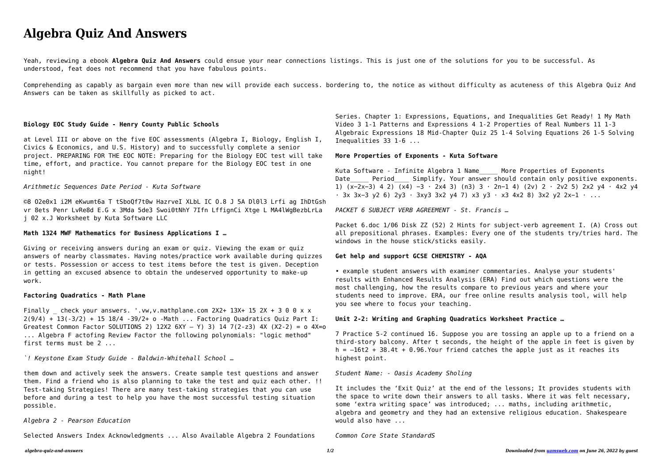# **Algebra Quiz And Answers**

Yeah, reviewing a ebook **Algebra Quiz And Answers** could ensue your near connections listings. This is just one of the solutions for you to be successful. As understood, feat does not recommend that you have fabulous points.

Comprehending as capably as bargain even more than new will provide each success. bordering to, the notice as without difficulty as acuteness of this Algebra Quiz And Answers can be taken as skillfully as picked to act.

#### **Biology EOC Study Guide - Henry County Public Schools**

at Level III or above on the five EOC assessments (Algebra I, Biology, English I, Civics & Economics, and U.S. History) and to successfully complete a senior project. PREPARING FOR THE EOC NOTE: Preparing for the Biology EOC test will take time, effort, and practice. You cannot prepare for the Biology EOC test in one night!

# *Arithmetic Sequences Date Period - Kuta Software*

Finally check your answers. '.vw.v.mathplane.com  $2X2+ 13X+ 15 2X + 3 0 0 x x$ 2(9/4) + 13(-3/2) + 15 18/4 -39/2+ o -Math ... Factoring Quadratics Quiz Part I: Greatest Common Factor SOLUTIONS 2) 12X2  $6XY - Y$ ) 3) 14 7(2-z3) 4X (X2-2) = o 4X=o ... Algebra F actofing Review Factor the following polynomials: "logic method" first terms must be 2 ...

©8 O2e0x1 i2M eKwumt6a T tSboQf7t0w HazrveI XLbL IC O.8 J 5A Dl0l3 Lrfi ag IhDtGsh vr 8ets Penr LvRe8d E.G x 3Mda 5de3 Swoi0tNhY 7Ifn LffignCi Xtge L MA4lWgBezbLrLa j 02 x.J Worksheet by Kuta Software LLC

#### **Math 1324 MWF Mathematics for Business Applications I …**

Giving or receiving answers during an exam or quiz. Viewing the exam or quiz answers of nearby classmates. Having notes/practice work available during quizzes or tests. Possession or access to test items before the test is given. Deception in getting an excused absence to obtain the undeserved opportunity to make-up work.

Kuta Software - Infinite Algebra 1 Name More Properties of Exponents Date Period Simplify. Your answer should contain only positive exponents. 1) (x−2x−3) 4 2) (x4) −3 ⋅ 2x4 3) (n3) 3 ⋅ 2n−1 4) (2v) 2 ⋅ 2v2 5) 2x2 y4 ⋅ 4x2 y4 ⋅ 3x 3x−3 y2 6) 2y3 ⋅ 3xy3 3x2 y4 7) x3 y3 ⋅ x3 4x2 8) 3x2 y2 2x−1 ⋅ ...

# **Factoring Quadratics - Math Plane**

Packet 6.doc 1/06 Disk ZZ (52) 2 Hints for subject-verb agreement I. (A) Cross out all prepositional phrases. Examples: Every one of the students try/tries hard. The windows in the house stick/sticks easily.

*`! Keystone Exam Study Guide - Baldwin-Whitehall School …*

them down and actively seek the answers. Create sample test questions and answer them. Find a friend who is also planning to take the test and quiz each other. !! Test-taking Strategies! There are many test-taking strategies that you can use before and during a test to help you have the most successful testing situation possible.

### *Algebra 2 - Pearson Education*

Selected Answers Index Acknowledgments ... Also Available Algebra 2 Foundations

Series. Chapter 1: Expressions, Equations, and Inequalities Get Ready! 1 My Math Video 3 1-1 Patterns and Expressions 4 1-2 Properties of Real Numbers 11 1-3 Algebraic Expressions 18 Mid-Chapter Quiz 25 1-4 Solving Equations 26 1-5 Solving Inequalities 33 1-6 ...

## **More Properties of Exponents - Kuta Software**

*PACKET 6 SUBJECT VERB AGREEMENT - St. Francis …*

#### **Get help and support GCSE CHEMISTRY - AQA**

• example student answers with examiner commentaries. Analyse your students' results with Enhanced Results Analysis (ERA) Find out which questions were the most challenging, how the results compare to previous years and where your students need to improve. ERA, our free online results analysis tool, will help you see where to focus your teaching.

# **Unit 2-2: Writing and Graphing Quadratics Worksheet Practice …**

7 Practice 5-2 continued 16. Suppose you are tossing an apple up to a friend on a third-story balcony. After t seconds, the height of the apple in feet is given by  $h = -16t2 + 38.4t + 0.96$ . Your friend catches the apple just as it reaches its highest point.

*Student Name: - Oasis Academy Sholing*

It includes the 'Exit Quiz' at the end of the lessons; It provides students with the space to write down their answers to all tasks. Where it was felt necessary, some 'extra writing space' was introduced; ... maths, including arithmetic, algebra and geometry and they had an extensive religious education. Shakespeare would also have ...

#### *Common Core State StandardS*